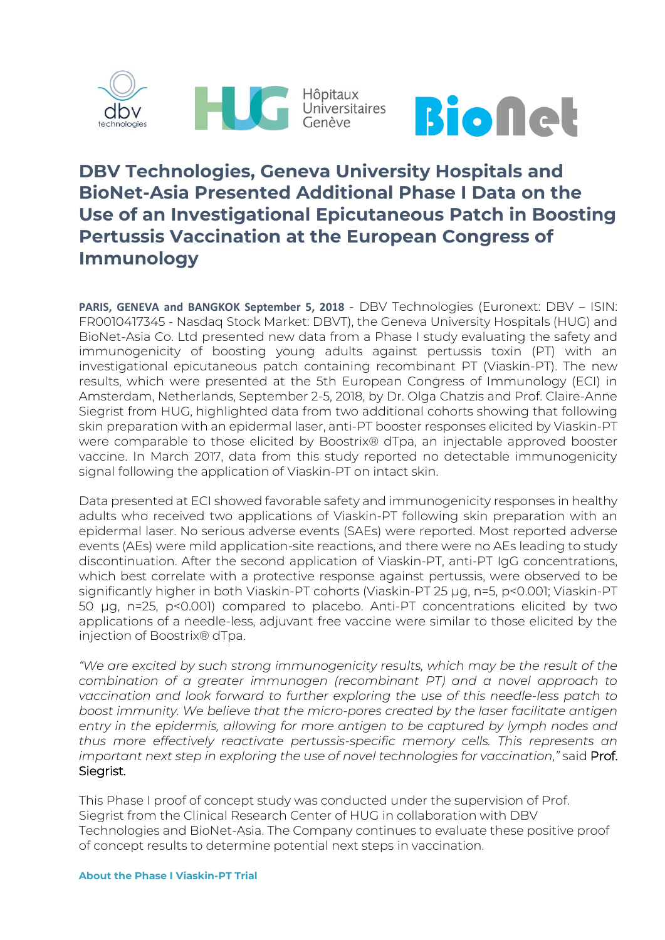



# **DBV Technologies, Geneva University Hospitals and BioNet-Asia Presented Additional Phase I Data on the Use of an Investigational Epicutaneous Patch in Boosting Pertussis Vaccination at the European Congress of Immunology**

**PARIS, GENEVA and BANGKOK September 5, 2018** - DBV Technologies (Euronext: DBV – ISIN: FR0010417345 - Nasdaq Stock Market: DBVT), the Geneva University Hospitals (HUG) and BioNet-Asia Co. Ltd presented new data from a Phase I study evaluating the safety and immunogenicity of boosting young adults against pertussis toxin (PT) with an investigational epicutaneous patch containing recombinant PT (Viaskin-PT). The new results, which were presented at the 5th European Congress of Immunology (ECI) in Amsterdam, Netherlands, September 2-5, 2018, by Dr. Olga Chatzis and Prof. Claire-Anne Siegrist from HUG, highlighted data from two additional cohorts showing that following skin preparation with an epidermal laser, anti-PT booster responses elicited by Viaskin-PT were comparable to those elicited by Boostrix® dTpa, an injectable approved booster vaccine. In March 2017, data from this study reported no detectable immunogenicity signal following the application of Viaskin-PT on intact skin.

Data presented at ECI showed favorable safety and immunogenicity responses in healthy adults who received two applications of Viaskin-PT following skin preparation with an epidermal laser. No serious adverse events (SAEs) were reported. Most reported adverse events (AEs) were mild application-site reactions, and there were no AEs leading to study discontinuation. After the second application of Viaskin-PT, anti-PT IgG concentrations, which best correlate with a protective response against pertussis, were observed to be significantly higher in both Viaskin-PT cohorts (Viaskin-PT 25 µg, n=5, p<0.001; Viaskin-PT 50 µg, n=25, p<0.001) compared to placebo. Anti-PT concentrations elicited by two applications of a needle-less, adjuvant free vaccine were similar to those elicited by the injection of Boostrix® dTpa.

*"We are excited by such strong immunogenicity results, which may be the result of the combination of a greater immunogen (recombinant PT) and a novel approach to vaccination and look forward to further exploring the use of this needle-less patch to boost immunity. We believe that the micro-pores created by the laser facilitate antigen entry in the epidermis, allowing for more antigen to be captured by lymph nodes and thus more effectively reactivate pertussis-specific memory cells. This represents an important next step in exploring the use of novel technologies for vaccination,"* said Prof. Siegrist.

This Phase I proof of concept study was conducted under the supervision of Prof. Siegrist from the Clinical Research Center of HUG in collaboration with DBV Technologies and BioNet-Asia. The Company continues to evaluate these positive proof of concept results to determine potential next steps in vaccination.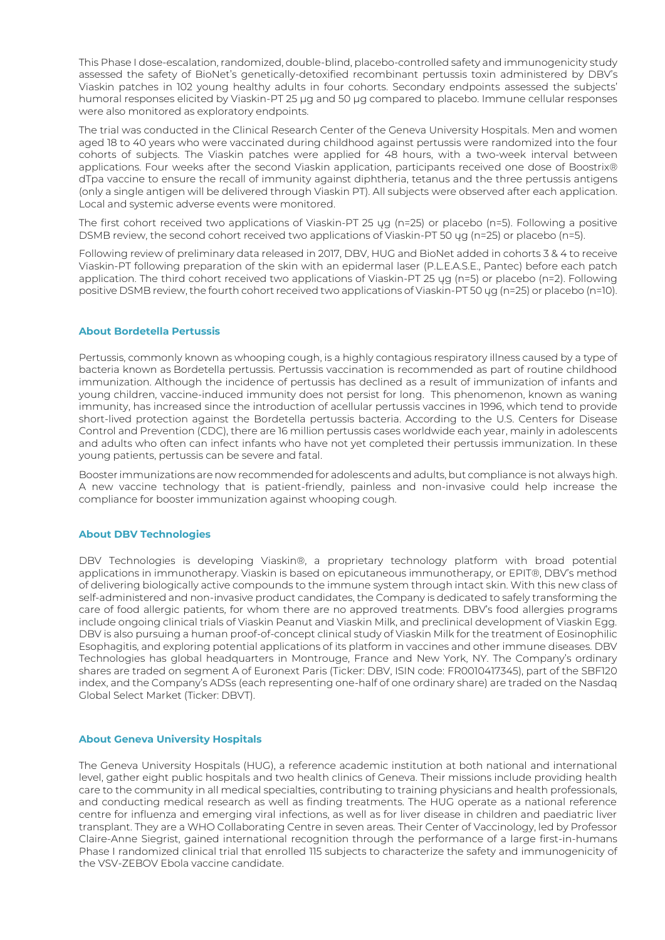This Phase I dose-escalation, randomized, double-blind, placebo-controlled safety and immunogenicity study assessed the safety of BioNet's genetically-detoxified recombinant pertussis toxin administered by DBV's Viaskin patches in 102 young healthy adults in four cohorts. Secondary endpoints assessed the subjects' humoral responses elicited by Viaskin-PT 25 μg and 50 μg compared to placebo. Immune cellular responses were also monitored as exploratory endpoints.

The trial was conducted in the Clinical Research Center of the Geneva University Hospitals. Men and women aged 18 to 40 years who were vaccinated during childhood against pertussis were randomized into the four cohorts of subjects. The Viaskin patches were applied for 48 hours, with a two-week interval between applications. Four weeks after the second Viaskin application, participants received one dose of Boostrix® dTpa vaccine to ensure the recall of immunity against diphtheria, tetanus and the three pertussis antigens (only a single antigen will be delivered through Viaskin PT). All subjects were observed after each application. Local and systemic adverse events were monitored.

The first cohort received two applications of Viaskin-PT 25 ųg (n=25) or placebo (n=5). Following a positive DSMB review, the second cohort received two applications of Viaskin-PT 50 ųg (n=25) or placebo (n=5).

Following review of preliminary data released in 2017, DBV, HUG and BioNet added in cohorts 3 & 4 to receive Viaskin-PT following preparation of the skin with an epidermal laser (P.L.E.A.S.E., Pantec) before each patch application. The third cohort received two applications of Viaskin-PT 25 ųg (n=5) or placebo (n=2). Following positive DSMB review, the fourth cohort received two applications of Viaskin-PT 50 ųg (n=25) or placebo (n=10).

### **About Bordetella Pertussis**

Pertussis, commonly known as whooping cough, is a highly contagious respiratory illness caused by a type of bacteria known as Bordetella pertussis. Pertussis vaccination is recommended as part of routine childhood immunization. Although the incidence of pertussis has declined as a result of immunization of infants and young children, vaccine-induced immunity does not persist for long. This phenomenon, known as waning immunity, has increased since the introduction of acellular pertussis vaccines in 1996, which tend to provide short-lived protection against the Bordetella pertussis bacteria. According to the U.S. Centers for Disease Control and Prevention (CDC), there are 16 million pertussis cases worldwide each year, mainly in adolescents and adults who often can infect infants who have not yet completed their pertussis immunization. In these young patients, pertussis can be severe and fatal.

Booster immunizations are now recommended for adolescents and adults, but compliance is not always high. A new vaccine technology that is patient-friendly, painless and non-invasive could help increase the compliance for booster immunization against whooping cough.

### **About DBV Technologies**

DBV Technologies is developing Viaskin®, a proprietary technology platform with broad potential applications in immunotherapy. Viaskin is based on epicutaneous immunotherapy, or EPIT®, DBV's method of delivering biologically active compounds to the immune system through intact skin. With this new class of self-administered and non-invasive product candidates, the Company is dedicated to safely transforming the care of food allergic patients, for whom there are no approved treatments. DBV's food allergies programs include ongoing clinical trials of Viaskin Peanut and Viaskin Milk, and preclinical development of Viaskin Egg. DBV is also pursuing a human proof-of-concept clinical study of Viaskin Milk for the treatment of Eosinophilic Esophagitis, and exploring potential applications of its platform in vaccines and other immune diseases. DBV Technologies has global headquarters in Montrouge, France and New York, NY. The Company's ordinary shares are traded on segment A of Euronext Paris (Ticker: DBV, ISIN code: FR0010417345), part of the SBF120 index, and the Company's ADSs (each representing one-half of one ordinary share) are traded on the Nasdaq Global Select Market (Ticker: DBVT).

### **About Geneva University Hospitals**

The Geneva University Hospitals (HUG), a reference academic institution at both national and international level, gather eight public hospitals and two health clinics of Geneva. Their missions include providing health care to the community in all medical specialties, contributing to training physicians and health professionals, and conducting medical research as well as finding treatments. The HUG operate as a national reference centre for influenza and emerging viral infections, as well as for liver disease in children and paediatric liver transplant. They are a WHO Collaborating Centre in seven areas. Their Center of Vaccinology, led by Professor Claire-Anne Siegrist, gained international recognition through the performance of a large first-in-humans Phase I randomized clinical trial that enrolled 115 subjects to characterize the safety and immunogenicity of the VSV-ZEBOV Ebola vaccine candidate.